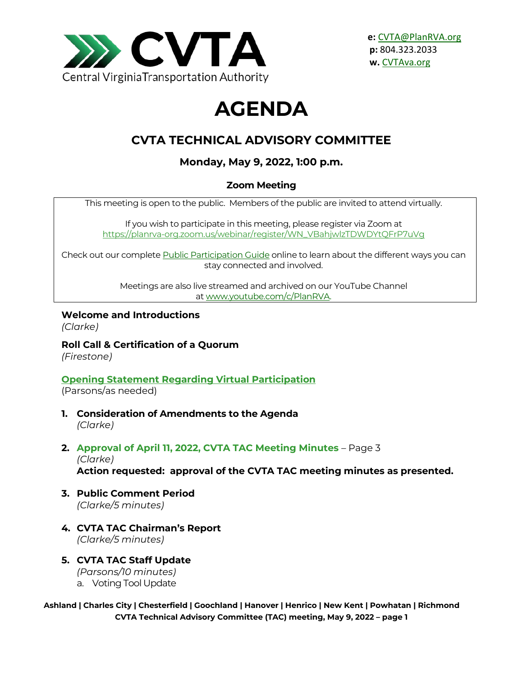

# **AGENDA**

# **CVTA TECHNICAL ADVISORY COMMITTEE**

# **Monday, May 9, 2022, 1:00 p.m.**

## **Zoom Meeting**

This meeting is open to the public. Members of the public are invited to attend virtually.

If you wish to participate in this meeting, please register via Zoom at [https://planrva-org.zoom.us/webinar/register/WN\\_VBahjwlzTDWDYtQFrP7uVg](https://planrva-org.zoom.us/webinar/register/WN_VBahjwlzTDWDYtQFrP7uVg)

Check out our complet[e Public Participation Guide](https://planrva.org/wp-content/uploads/Infographic_PlanRVA_1_CF.ai_.pdf) online to learn about the different ways you can stay connected and involved.

> Meetings are also live streamed and archived on our YouTube Channel at [www.youtube.com/c/PlanRVA.](http://www.youtube.com/c/PlanRVA)

#### **Welcome and Introductions**

*(Clarke)*

**Roll Call & Certification of a Quorum**

*(Firestone)*

# **[Opening Statement Regarding Virtual Participation](https://planrva.org/wp-content/uploads/Statement-Regarding-Virtual-Mtgs-CVTA.pdf)**

(Parsons/as needed)

- **1. Consideration of Amendments to the Agenda**  *(Clarke)*
- **2. Approval of April 11, 2022, CVTA TAC Meeting Minutes** Page 3 *(Clarke)*

**Action requested: approval of the CVTA TAC meeting minutes as presented.**

- **3. Public Comment Period**  *(Clarke/5 minutes)*
- **4. CVTA TAC Chairman's Report**  *(Clarke/5 minutes)*
- **5. CVTA TAC Staff Update**  *(Parsons/10 minutes)*
	- a. Voting Tool Update

#### **Ashland | Charles City | Chesterfield | Goochland | Hanover | Henrico | New Kent | Powhatan | Richmond CVTA Technical Advisory Committee (TAC) meeting, May 9, 2022 – page 1**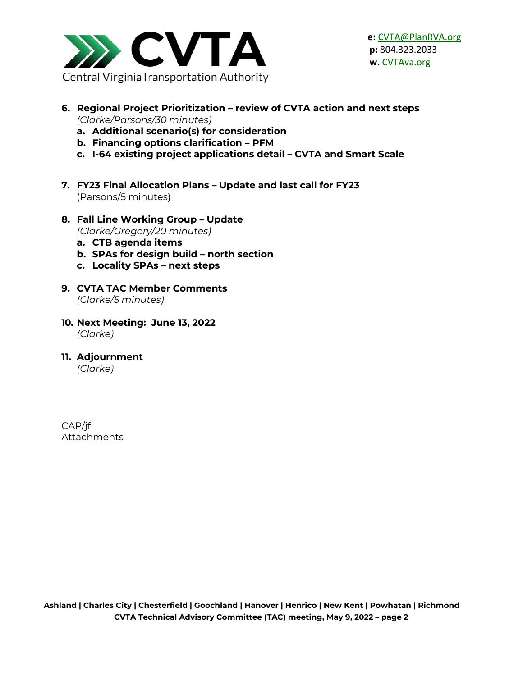

- **6. Regional Project Prioritization – review of CVTA action and next steps** *(Clarke/Parsons/30 minutes)*
	- **a. Additional scenario(s) for consideration**
	- **b. Financing options clarification – PFM**
	- **c. I-64 existing project applications detail – CVTA and Smart Scale**
- **7. FY23 Final Allocation Plans – Update and last call for FY23** (Parsons/5 minutes)
- **8. Fall Line Working Group – Update** *(Clarke/Gregory/20 minutes)*
	- **a. CTB agenda items**
	- **b. SPAs for design build – north section**
	- **c. Locality SPAs – next steps**
- **9. CVTA TAC Member Comments** *(Clarke/5 minutes)*
- **10. Next Meeting: June 13, 2022** *(Clarke)*
- **11. Adjournment**

*(Clarke)*

CAP/jf Attachments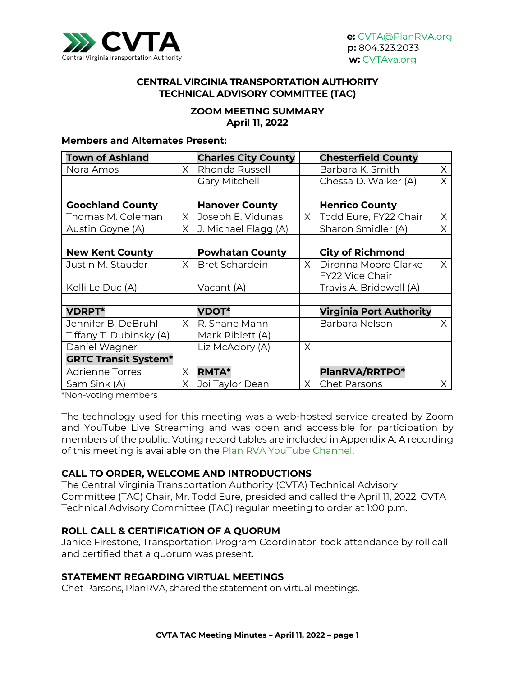

#### **CENTRAL VIRGINIA TRANSPORTATION AUTHORITY TECHNICAL ADVISORY COMMITTEE (TAC)**

#### **ZOOM MEETING SUMMARY April 11, 2022**

#### **Members and Alternates Present:**

| <b>Town of Ashland</b>      |          | <b>Charles City County</b> |          | <b>Chesterfield County</b>     |          |
|-----------------------------|----------|----------------------------|----------|--------------------------------|----------|
| Nora Amos                   | $\times$ | Rhonda Russell             |          | Barbara K. Smith               | X        |
|                             |          | <b>Gary Mitchell</b>       |          | Chessa D. Walker (A)           | X        |
|                             |          |                            |          |                                |          |
| <b>Goochland County</b>     |          | <b>Hanover County</b>      |          | <b>Henrico County</b>          |          |
| Thomas M. Coleman           | $\times$ | Joseph E. Vidunas          | $\times$ | Todd Eure, FY22 Chair          | $\times$ |
| Austin Goyne (A)            | X        | J. Michael Flagg (A)       |          | Sharon Smidler (A)             | X        |
|                             |          |                            |          |                                |          |
| <b>New Kent County</b>      |          | <b>Powhatan County</b>     |          | <b>City of Richmond</b>        |          |
| Justin M. Stauder           | $\times$ | <b>Bret Schardein</b>      | $\times$ | Dironna Moore Clarke           | $\times$ |
|                             |          |                            |          | FY22 Vice Chair                |          |
| Kelli Le Duc (A)            |          | Vacant (A)                 |          | Travis A. Bridewell (A)        |          |
|                             |          |                            |          |                                |          |
| <b>VDRPT*</b>               |          | <b>VDOT*</b>               |          | <b>Virginia Port Authority</b> |          |
| Jennifer B. DeBruhl         | $\times$ | R. Shane Mann              |          | Barbara Nelson                 | X        |
| Tiffany T. Dubinsky (A)     |          | Mark Riblett (A)           |          |                                |          |
| Daniel Wagner               |          | Liz McAdory (A)            | $\times$ |                                |          |
| <b>GRTC Transit System*</b> |          |                            |          |                                |          |
| <b>Adrienne Torres</b>      | X        | <b>RMTA*</b>               |          | PlanRVA/RRTPO*                 |          |
| Sam Sink (A)                | X.       | Joi Taylor Dean            | $\times$ | <b>Chet Parsons</b>            | X.       |

\*Non-voting members

The technology used for this meeting was a web-hosted service created by Zoom and YouTube Live Streaming and was open and accessible for participation by members of the public. Voting record tables are included in Appendix A. A recording of this meeting is available on the [Plan RVA YouTube Channel.](https://youtu.be/Z53MZy6iGM4)

#### **CALL TO ORDER, WELCOME AND INTRODUCTIONS**

The Central Virginia Transportation Authority (CVTA) Technical Advisory Committee (TAC) Chair, Mr. Todd Eure, presided and called the April 11, 2022, CVTA Technical Advisory Committee (TAC) regular meeting to order at 1:00 p.m.

#### **ROLL CALL & CERTIFICATION OF A QUORUM**

Janice Firestone, Transportation Program Coordinator, took attendance by roll call and certified that a quorum was present.

#### **STATEMENT REGARDING VIRTUAL MEETINGS**

Chet Parsons, PlanRVA, shared the statement on virtual meetings.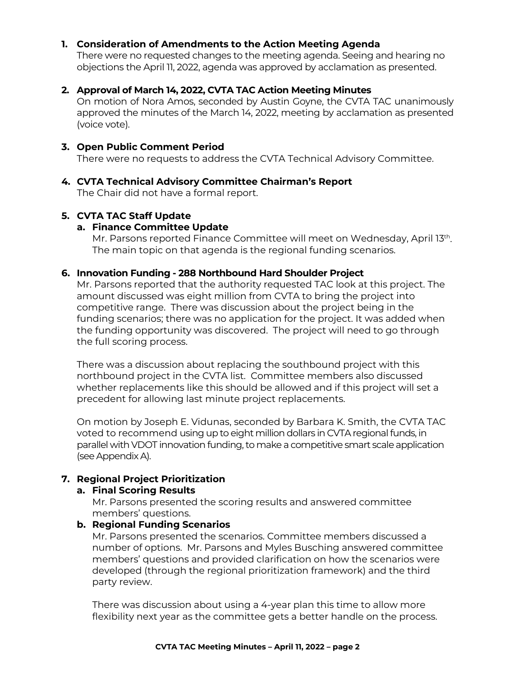#### **1. Consideration of Amendments to the Action Meeting Agenda**

There were no requested changes to the meeting agenda. Seeing and hearing no objections the April 11, 2022, agenda was approved by acclamation as presented.

#### **2. Approval of March 14, 2022, CVTA TAC Action Meeting Minutes**

On motion of Nora Amos, seconded by Austin Goyne, the CVTA TAC unanimously approved the minutes of the March 14, 2022, meeting by acclamation as presented (voice vote).

#### **3. Open Public Comment Period**

There were no requests to address the CVTA Technical Advisory Committee.

# **4. CVTA Technical Advisory Committee Chairman's Report**

The Chair did not have a formal report.

#### **5. CVTA TAC Staff Update**

#### **a. Finance Committee Update**

Mr. Parsons reported Finance Committee will meet on Wednesday, April 13th. The main topic on that agenda is the regional funding scenarios.

#### **6. Innovation Funding - 288 Northbound Hard Shoulder Project**

Mr. Parsons reported that the authority requested TAC look at this project. The amount discussed was eight million from CVTA to bring the project into competitive range. There was discussion about the project being in the funding scenarios; there was no application for the project. It was added when the funding opportunity was discovered. The project will need to go through the full scoring process.

There was a discussion about replacing the southbound project with this northbound project in the CVTA list. Committee members also discussed whether replacements like this should be allowed and if this project will set a precedent for allowing last minute project replacements.

On motion by Joseph E. Vidunas, seconded by Barbara K. Smith, the CVTA TAC voted to recommend using up to eight million dollars in CVTA regional funds, in parallel with VDOT innovation funding, to make a competitive smart scale application (see Appendix A).

#### **7. Regional Project Prioritization**

#### **a. Final Scoring Results**

Mr. Parsons presented the scoring results and answered committee members' questions.

#### **b. Regional Funding Scenarios**

Mr. Parsons presented the scenarios. Committee members discussed a number of options. Mr. Parsons and Myles Busching answered committee members' questions and provided clarification on how the scenarios were developed (through the regional prioritization framework) and the third party review.

There was discussion about using a 4-year plan this time to allow more flexibility next year as the committee gets a better handle on the process.